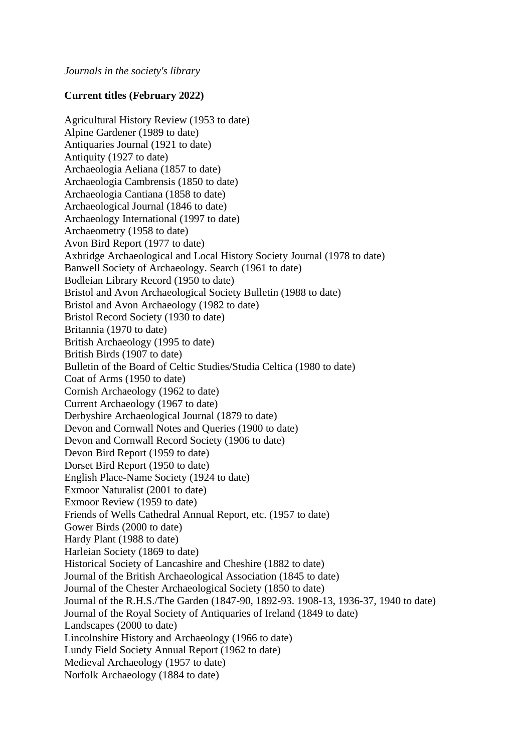## **Current titles (February 2022)**

Agricultural History Review (1953 to date) Alpine Gardener (1989 to date) Antiquaries Journal (1921 to date) Antiquity (1927 to date) Archaeologia Aeliana (1857 to date) Archaeologia Cambrensis (1850 to date) Archaeologia Cantiana (1858 to date) Archaeological Journal (1846 to date) Archaeology International (1997 to date) Archaeometry (1958 to date) Avon Bird Report (1977 to date) Axbridge Archaeological and Local History Society Journal (1978 to date) Banwell Society of Archaeology. Search (1961 to date) Bodleian Library Record (1950 to date) Bristol and Avon Archaeological Society Bulletin (1988 to date) Bristol and Avon Archaeology (1982 to date) Bristol Record Society (1930 to date) Britannia (1970 to date) British Archaeology (1995 to date) British Birds (1907 to date) Bulletin of the Board of Celtic Studies/Studia Celtica (1980 to date) Coat of Arms (1950 to date) Cornish Archaeology (1962 to date) Current Archaeology (1967 to date) Derbyshire Archaeological Journal (1879 to date) Devon and Cornwall Notes and Queries (1900 to date) Devon and Cornwall Record Society (1906 to date) Devon Bird Report (1959 to date) Dorset Bird Report (1950 to date) English Place-Name Society (1924 to date) Exmoor Naturalist (2001 to date) Exmoor Review (1959 to date) Friends of Wells Cathedral Annual Report, etc. (1957 to date) Gower Birds (2000 to date) Hardy Plant (1988 to date) Harleian Society (1869 to date) Historical Society of Lancashire and Cheshire (1882 to date) Journal of the British Archaeological Association (1845 to date) Journal of the Chester Archaeological Society (1850 to date) Journal of the R.H.S./The Garden (1847-90, 1892-93. 1908-13, 1936-37, 1940 to date) Journal of the Royal Society of Antiquaries of Ireland (1849 to date) Landscapes (2000 to date) Lincolnshire History and Archaeology (1966 to date) Lundy Field Society Annual Report (1962 to date) Medieval Archaeology (1957 to date) Norfolk Archaeology (1884 to date)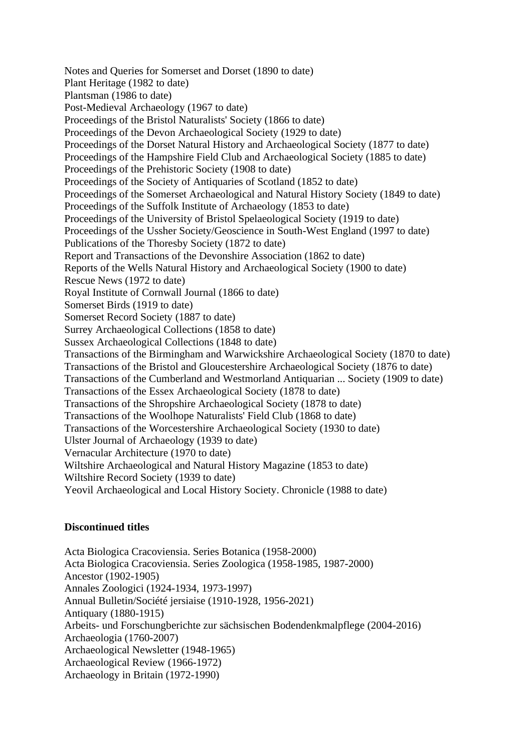Notes and Queries for Somerset and Dorset (1890 to date) Plant Heritage (1982 to date) Plantsman (1986 to date) Post-Medieval Archaeology (1967 to date) Proceedings of the Bristol Naturalists' Society (1866 to date) Proceedings of the Devon Archaeological Society (1929 to date) Proceedings of the Dorset Natural History and Archaeological Society (1877 to date) Proceedings of the Hampshire Field Club and Archaeological Society (1885 to date) Proceedings of the Prehistoric Society (1908 to date) Proceedings of the Society of Antiquaries of Scotland (1852 to date) Proceedings of the Somerset Archaeological and Natural History Society (1849 to date) Proceedings of the Suffolk Institute of Archaeology (1853 to date) Proceedings of the University of Bristol Spelaeological Society (1919 to date) Proceedings of the Ussher Society/Geoscience in South-West England (1997 to date) Publications of the Thoresby Society (1872 to date) Report and Transactions of the Devonshire Association (1862 to date) Reports of the Wells Natural History and Archaeological Society (1900 to date) Rescue News (1972 to date) Royal Institute of Cornwall Journal (1866 to date) Somerset Birds (1919 to date) Somerset Record Society (1887 to date) Surrey Archaeological Collections (1858 to date) Sussex Archaeological Collections (1848 to date) Transactions of the Birmingham and Warwickshire Archaeological Society (1870 to date) Transactions of the Bristol and Gloucestershire Archaeological Society (1876 to date) Transactions of the Cumberland and Westmorland Antiquarian ... Society (1909 to date) Transactions of the Essex Archaeological Society (1878 to date) Transactions of the Shropshire Archaeological Society (1878 to date) Transactions of the Woolhope Naturalists' Field Club (1868 to date) Transactions of the Worcestershire Archaeological Society (1930 to date) Ulster Journal of Archaeology (1939 to date) Vernacular Architecture (1970 to date) Wiltshire Archaeological and Natural History Magazine (1853 to date) Wiltshire Record Society (1939 to date) Yeovil Archaeological and Local History Society. Chronicle (1988 to date)

## **Discontinued titles**

Acta Biologica Cracoviensia. Series Botanica (1958-2000) Acta Biologica Cracoviensia. Series Zoologica (1958-1985, 1987-2000) Ancestor (1902-1905) Annales Zoologici (1924-1934, 1973-1997) Annual Bulletin/Société jersiaise (1910-1928, 1956-2021) Antiquary (1880-1915) Arbeits- und Forschungberichte zur sächsischen Bodendenkmalpflege (2004-2016) Archaeologia (1760-2007) Archaeological Newsletter (1948-1965) Archaeological Review (1966-1972) Archaeology in Britain (1972-1990)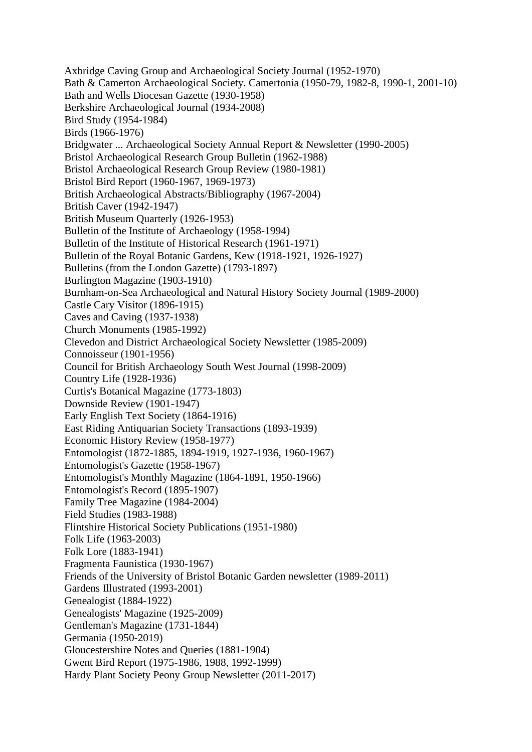Axbridge Caving Group and Archaeological Society Journal (1952-1970) Bath & Camerton Archaeological Society. Camertonia (1950-79, 1982-8, 1990-1, 2001-10) Bath and Wells Diocesan Gazette (1930-1958) Berkshire Archaeological Journal (1934-2008) Bird Study (1954-1984) Birds (1966-1976) Bridgwater ... Archaeological Society Annual Report & Newsletter (1990-2005) Bristol Archaeological Research Group Bulletin (1962-1988) Bristol Archaeological Research Group Review (1980-1981) Bristol Bird Report (1960-1967, 1969-1973) British Archaeological Abstracts/Bibliography (1967-2004) British Caver (1942-1947) British Museum Quarterly (1926-1953) Bulletin of the Institute of Archaeology (1958-1994) Bulletin of the Institute of Historical Research (1961-1971) Bulletin of the Royal Botanic Gardens, Kew (1918-1921, 1926-1927) Bulletins (from the London Gazette) (1793-1897) Burlington Magazine (1903-1910) Burnham-on-Sea Archaeological and Natural History Society Journal (1989-2000) Castle Cary Visitor (1896-1915) Caves and Caving (1937-1938) Church Monuments (1985-1992) Clevedon and District Archaeological Society Newsletter (1985-2009) Connoisseur (1901-1956) Council for British Archaeology South West Journal (1998-2009) Country Life (1928-1936) Curtis's Botanical Magazine (1773-1803) Downside Review (1901-1947) Early English Text Society (1864-1916) East Riding Antiquarian Society Transactions (1893-1939) Economic History Review (1958-1977) Entomologist (1872-1885, 1894-1919, 1927-1936, 1960-1967) Entomologist's Gazette (1958-1967) Entomologist's Monthly Magazine (1864-1891, 1950-1966) Entomologist's Record (1895-1907) Family Tree Magazine (1984-2004) Field Studies (1983-1988) Flintshire Historical Society Publications (1951-1980) Folk Life (1963-2003) Folk Lore (1883-1941) Fragmenta Faunistica (1930-1967) Friends of the University of Bristol Botanic Garden newsletter (1989-2011) Gardens Illustrated (1993-2001) Genealogist (1884-1922) Genealogists' Magazine (1925-2009) Gentleman's Magazine (1731-1844) Germania (1950-2019) Gloucestershire Notes and Queries (1881-1904) Gwent Bird Report (1975-1986, 1988, 1992-1999) Hardy Plant Society Peony Group Newsletter (2011-2017)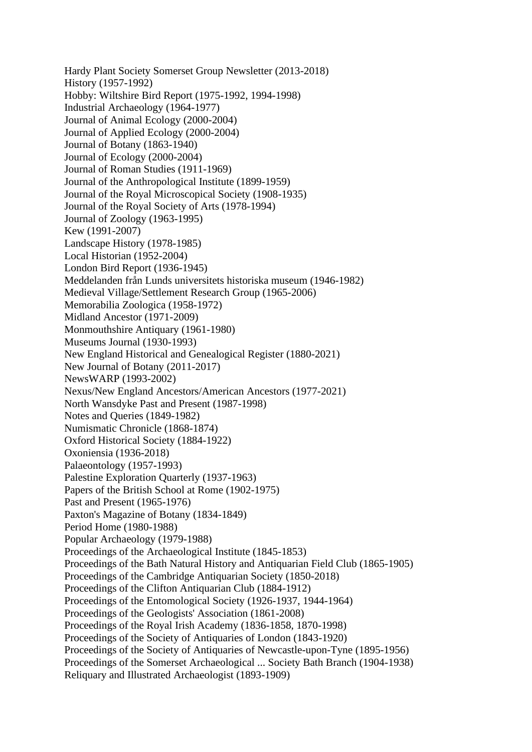Hardy Plant Society Somerset Group Newsletter (2013-2018) History (1957-1992) Hobby: Wiltshire Bird Report (1975-1992, 1994-1998) Industrial Archaeology (1964-1977) Journal of Animal Ecology (2000-2004) Journal of Applied Ecology (2000-2004) Journal of Botany (1863-1940) Journal of Ecology (2000-2004) Journal of Roman Studies (1911-1969) Journal of the Anthropological Institute (1899-1959) Journal of the Royal Microscopical Society (1908-1935) Journal of the Royal Society of Arts (1978-1994) Journal of Zoology (1963-1995) Kew (1991-2007) Landscape History (1978-1985) Local Historian (1952-2004) London Bird Report (1936-1945) Meddelanden från Lunds universitets historiska museum (1946-1982) Medieval Village/Settlement Research Group (1965-2006) Memorabilia Zoologica (1958-1972) Midland Ancestor (1971-2009) Monmouthshire Antiquary (1961-1980) Museums Journal (1930-1993) New England Historical and Genealogical Register (1880-2021) New Journal of Botany (2011-2017) NewsWARP (1993-2002) Nexus/New England Ancestors/American Ancestors (1977-2021) North Wansdyke Past and Present (1987-1998) Notes and Queries (1849-1982) Numismatic Chronicle (1868-1874) Oxford Historical Society (1884-1922) Oxoniensia (1936-2018) Palaeontology (1957-1993) Palestine Exploration Quarterly (1937-1963) Papers of the British School at Rome (1902-1975) Past and Present (1965-1976) Paxton's Magazine of Botany (1834-1849) Period Home (1980-1988) Popular Archaeology (1979-1988) Proceedings of the Archaeological Institute (1845-1853) Proceedings of the Bath Natural History and Antiquarian Field Club (1865-1905) Proceedings of the Cambridge Antiquarian Society (1850-2018) Proceedings of the Clifton Antiquarian Club (1884-1912) Proceedings of the Entomological Society (1926-1937, 1944-1964) Proceedings of the Geologists' Association (1861-2008) Proceedings of the Royal Irish Academy (1836-1858, 1870-1998) Proceedings of the Society of Antiquaries of London (1843-1920) Proceedings of the Society of Antiquaries of Newcastle-upon-Tyne (1895-1956) Proceedings of the Somerset Archaeological ... Society Bath Branch (1904-1938) Reliquary and Illustrated Archaeologist (1893-1909)